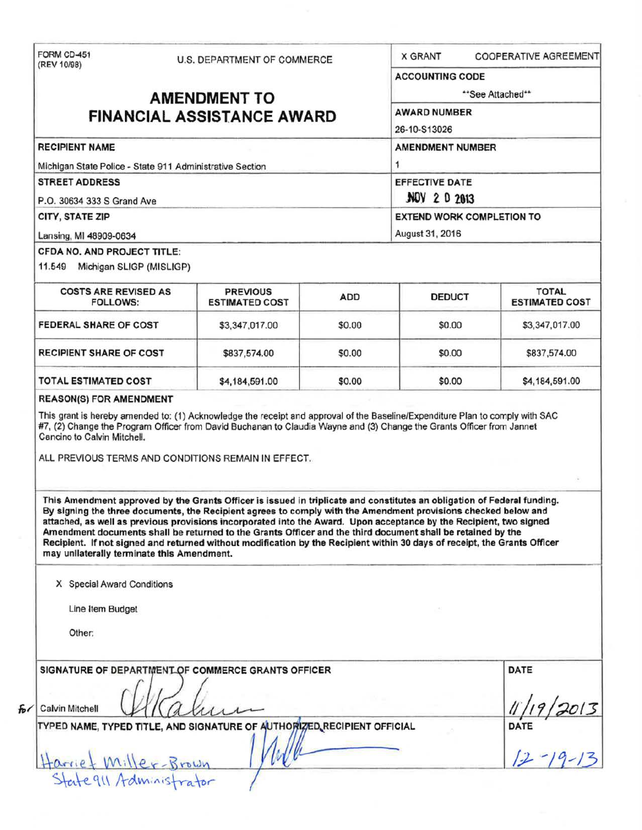| (REV 10/98)                                                              | U.S. DEPARTMENT OF COMMERCE                                                                                                                                                                                                                                                                                                                                                                                                                                                                                                                                                                                 |                         | <b>X GRANT</b>                   | COOPERATIVE AGREEMENT                           |  |  |
|--------------------------------------------------------------------------|-------------------------------------------------------------------------------------------------------------------------------------------------------------------------------------------------------------------------------------------------------------------------------------------------------------------------------------------------------------------------------------------------------------------------------------------------------------------------------------------------------------------------------------------------------------------------------------------------------------|-------------------------|----------------------------------|-------------------------------------------------|--|--|
|                                                                          |                                                                                                                                                                                                                                                                                                                                                                                                                                                                                                                                                                                                             |                         | <b>ACCOUNTING CODE</b>           |                                                 |  |  |
| <b>AMENDMENT TO</b>                                                      |                                                                                                                                                                                                                                                                                                                                                                                                                                                                                                                                                                                                             |                         | **See Attached**                 |                                                 |  |  |
|                                                                          |                                                                                                                                                                                                                                                                                                                                                                                                                                                                                                                                                                                                             |                         | <b>AWARD NUMBER</b>              |                                                 |  |  |
| <b>FINANCIAL ASSISTANCE AWARD</b>                                        |                                                                                                                                                                                                                                                                                                                                                                                                                                                                                                                                                                                                             |                         | 26-10-S13026                     |                                                 |  |  |
| <b>RECIPIENT NAME</b>                                                    |                                                                                                                                                                                                                                                                                                                                                                                                                                                                                                                                                                                                             | <b>AMENDMENT NUMBER</b> |                                  |                                                 |  |  |
| Michigan State Police - State 911 Administrative Section                 |                                                                                                                                                                                                                                                                                                                                                                                                                                                                                                                                                                                                             |                         | 1<br><b>EFFECTIVE DATE</b>       |                                                 |  |  |
| <b>STREET ADDRESS</b>                                                    |                                                                                                                                                                                                                                                                                                                                                                                                                                                                                                                                                                                                             |                         |                                  |                                                 |  |  |
| P.O. 30634 333 S Grand Ave                                               |                                                                                                                                                                                                                                                                                                                                                                                                                                                                                                                                                                                                             |                         | NOV 2 0 2013                     |                                                 |  |  |
| CITY, STATE ZIP                                                          |                                                                                                                                                                                                                                                                                                                                                                                                                                                                                                                                                                                                             |                         | <b>EXTEND WORK COMPLETION TO</b> |                                                 |  |  |
| Lansing, MI 48909-0634                                                   |                                                                                                                                                                                                                                                                                                                                                                                                                                                                                                                                                                                                             |                         | August 31, 2016                  |                                                 |  |  |
| CFDA NO. AND PROJECT TITLE:                                              |                                                                                                                                                                                                                                                                                                                                                                                                                                                                                                                                                                                                             |                         |                                  |                                                 |  |  |
| 11.549 Michigan SLIGP (MISLIGP)                                          |                                                                                                                                                                                                                                                                                                                                                                                                                                                                                                                                                                                                             |                         |                                  |                                                 |  |  |
| <b>COSTS ARE REVISED AS</b><br><b>FOLLOWS:</b>                           | <b>PREVIOUS</b><br><b>ESTIMATED COST</b>                                                                                                                                                                                                                                                                                                                                                                                                                                                                                                                                                                    | <b>ADD</b>              | <b>DEDUCT</b>                    | <b>TOTAL</b><br><b>ESTIMATED COST</b>           |  |  |
| FEDERAL SHARE OF COST                                                    | \$3,347,017.00                                                                                                                                                                                                                                                                                                                                                                                                                                                                                                                                                                                              | \$0.00                  | \$0.00                           | \$3,347,017.00                                  |  |  |
| <b>RECIPIENT SHARE OF COST</b>                                           | \$837,574.00                                                                                                                                                                                                                                                                                                                                                                                                                                                                                                                                                                                                | \$0.00                  | \$0.00                           | \$837,574.00                                    |  |  |
| <b>TOTAL ESTIMATED COST</b>                                              | \$4,184,591.00                                                                                                                                                                                                                                                                                                                                                                                                                                                                                                                                                                                              | \$0.00                  | \$0.00                           | \$4,184,591.00                                  |  |  |
|                                                                          | ALL PREVIOUS TERMS AND CONDITIONS REMAIN IN EFFECT.                                                                                                                                                                                                                                                                                                                                                                                                                                                                                                                                                         |                         |                                  |                                                 |  |  |
| may unilaterally terminate this Amendment.<br>X Special Award Conditions | This Amendment approved by the Grants Officer is issued in triplicate and constitutes an obligation of Federal funding.<br>By signing the three documents, the Recipient agrees to comply with the Amendment provisions checked below and<br>attached, as well as previous provisions incorporated into the Award. Upon acceptance by the Recipient, two signed<br>Amendment documents shall be returned to the Grants Officer and the third document shall be retained by the<br>Recipient. If not signed and returned without modification by the Recipient within 30 days of receipt, the Grants Officer |                         |                                  |                                                 |  |  |
| Line Item Budget                                                         |                                                                                                                                                                                                                                                                                                                                                                                                                                                                                                                                                                                                             |                         |                                  |                                                 |  |  |
| Other:                                                                   |                                                                                                                                                                                                                                                                                                                                                                                                                                                                                                                                                                                                             |                         |                                  |                                                 |  |  |
|                                                                          |                                                                                                                                                                                                                                                                                                                                                                                                                                                                                                                                                                                                             |                         |                                  |                                                 |  |  |
|                                                                          | SIGNATURE OF DEPARTMENT OF COMMERCE GRANTS OFFICER                                                                                                                                                                                                                                                                                                                                                                                                                                                                                                                                                          |                         |                                  | <b>DATE</b>                                     |  |  |
| <b>Calvin Mitchell</b>                                                   |                                                                                                                                                                                                                                                                                                                                                                                                                                                                                                                                                                                                             |                         |                                  | $\frac{11/19}{2013}$<br>DATE<br>$\frac{12}{19}$ |  |  |